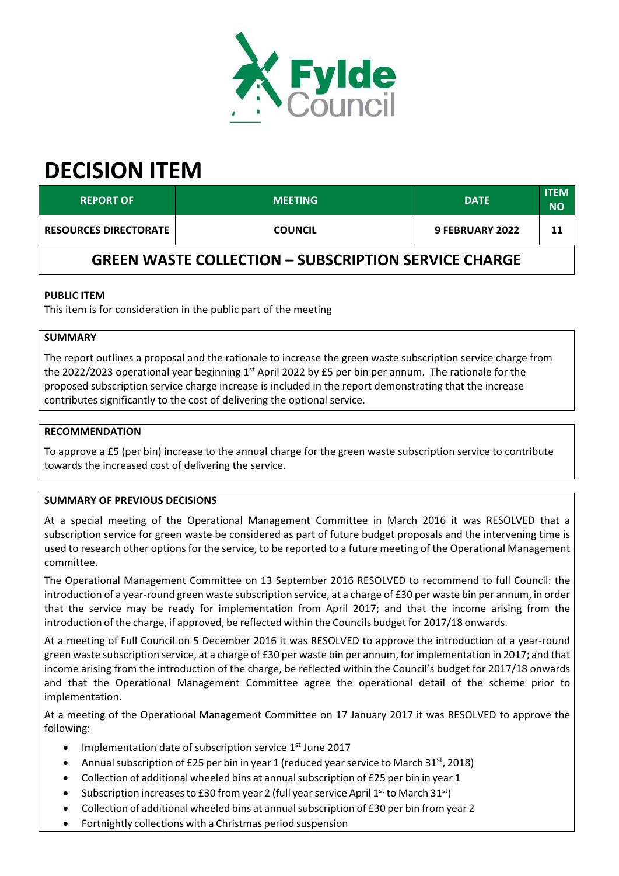

# **DECISION ITEM**

| <b>REPORT OF</b>                                            | <b>MEETING</b> | <b>DATE</b>            | <b>ITEM</b><br><b>NO</b> |  |
|-------------------------------------------------------------|----------------|------------------------|--------------------------|--|
| <b>RESOURCES DIRECTORATE</b>                                | <b>COUNCIL</b> | <b>9 FEBRUARY 2022</b> | 11                       |  |
| <b>GREEN WASTE COLLECTION - SUBSCRIPTION SERVICE CHARGE</b> |                |                        |                          |  |

## **PUBLIC ITEM**

This item is for consideration in the public part of the meeting

## **SUMMARY**

The report outlines a proposal and the rationale to increase the green waste subscription service charge from the 2022/2023 operational year beginning 1<sup>st</sup> April 2022 by £5 per bin per annum. The rationale for the proposed subscription service charge increase is included in the report demonstrating that the increase contributes significantly to the cost of delivering the optional service.

### **RECOMMENDATION**

To approve a £5 (per bin) increase to the annual charge for the green waste subscription service to contribute towards the increased cost of delivering the service.

### **SUMMARY OF PREVIOUS DECISIONS**

At a special meeting of the Operational Management Committee in March 2016 it was RESOLVED that a subscription service for green waste be considered as part of future budget proposals and the intervening time is used to research other options for the service, to be reported to a future meeting of the Operational Management committee.

The Operational Management Committee on 13 September 2016 RESOLVED to recommend to full Council: the introduction of a year‐round green waste subscription service, at a charge of £30 per waste bin per annum, in order that the service may be ready for implementation from April 2017; and that the income arising from the introduction of the charge, if approved, be reflected within the Councils budget for 2017/18 onwards.

At a meeting of Full Council on 5 December 2016 it was RESOLVED to approve the introduction of a year-round green waste subscription service, at a charge of £30 per waste bin per annum, forimplementation in 2017; and that income arising from the introduction of the charge, be reflected within the Council's budget for 2017/18 onwards and that the Operational Management Committee agree the operational detail of the scheme prior to implementation.

At a meeting of the Operational Management Committee on 17 January 2017 it was RESOLVED to approve the following:

- Implementation date of subscription service  $1<sup>st</sup>$  June 2017
- Annual subscription of £25 per bin in year 1 (reduced year service to March 31st, 2018)
- Collection of additional wheeled bins at annualsubscription of £25 per bin in year 1
- Subscription increases to £30 from year 2 (full year service April 1<sup>st</sup> to March 31<sup>st</sup>)
- Collection of additional wheeled bins at annualsubscription of £30 per bin from year 2
- Fortnightly collections with a Christmas period suspension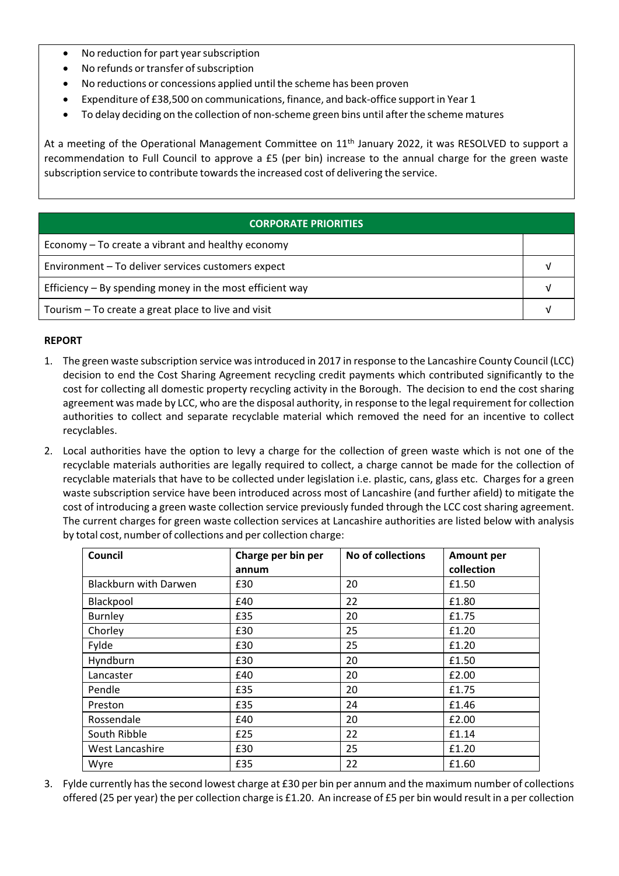- No reduction for part year subscription
- No refunds or transfer of subscription
- No reductions or concessions applied until the scheme has been proven
- Expenditure of £38,500 on communications, finance, and back‐office support in Year 1
- To delay deciding on the collection of non-scheme green bins until after the scheme matures

At a meeting of the Operational Management Committee on 11<sup>th</sup> January 2022, it was RESOLVED to support a recommendation to Full Council to approve a £5 (per bin) increase to the annual charge for the green waste subscription service to contribute towardsthe increased cost of delivering the service.

| <b>CORPORATE PRIORITIES</b>                                |  |  |
|------------------------------------------------------------|--|--|
| Economy – To create a vibrant and healthy economy          |  |  |
| Environment - To deliver services customers expect         |  |  |
| Efficiency $-$ By spending money in the most efficient way |  |  |
| Tourism - To create a great place to live and visit        |  |  |

#### **REPORT**

- 1. The green waste subscription service wasintroduced in 2017 in response to the Lancashire County Council (LCC) decision to end the Cost Sharing Agreement recycling credit payments which contributed significantly to the cost for collecting all domestic property recycling activity in the Borough. The decision to end the cost sharing agreement was made by LCC, who are the disposal authority, in response to the legal requirement for collection authorities to collect and separate recyclable material which removed the need for an incentive to collect recyclables.
- 2. Local authorities have the option to levy a charge for the collection of green waste which is not one of the recyclable materials authorities are legally required to collect, a charge cannot be made for the collection of recyclable materials that have to be collected under legislation i.e. plastic, cans, glass etc. Charges for a green waste subscription service have been introduced across most of Lancashire (and further afield) to mitigate the cost of introducing a green waste collection service previously funded through the LCC cost sharing agreement. The current charges for green waste collection services at Lancashire authorities are listed below with analysis by total cost, number of collections and per collection charge:

| Council                      | Charge per bin per<br>annum | No of collections | <b>Amount per</b><br>collection |
|------------------------------|-----------------------------|-------------------|---------------------------------|
| <b>Blackburn with Darwen</b> | £30                         | 20                | £1.50                           |
| Blackpool                    | £40                         | 22                | £1.80                           |
| Burnley                      | £35                         | 20                | £1.75                           |
| Chorley                      | £30                         | 25                | £1.20                           |
| Fylde                        | £30                         | 25                | £1.20                           |
| Hyndburn                     | £30                         | 20                | £1.50                           |
| Lancaster                    | £40                         | 20                | £2.00                           |
| Pendle                       | £35                         | 20                | £1.75                           |
| Preston                      | £35                         | 24                | £1.46                           |
| Rossendale                   | £40                         | 20                | £2.00                           |
| South Ribble                 | £25                         | 22                | £1.14                           |
| West Lancashire              | £30                         | 25                | £1.20                           |
| Wyre                         | £35                         | 22                | £1.60                           |

3. Fylde currently hasthe second lowest charge at £30 per bin per annum and the maximum number of collections offered (25 per year) the per collection charge is £1.20. An increase of £5 per bin would result in a per collection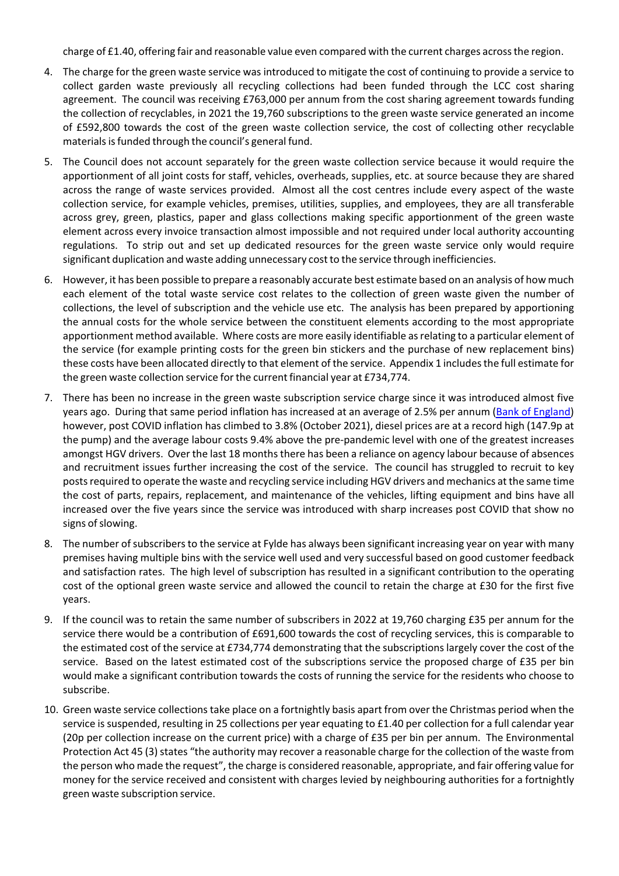charge of £1.40, offering fair and reasonable value even compared with the current charges acrossthe region.

- 4. The charge for the green waste service was introduced to mitigate the cost of continuing to provide a service to collect garden waste previously all recycling collections had been funded through the LCC cost sharing agreement. The council was receiving £763,000 per annum from the cost sharing agreement towards funding the collection of recyclables, in 2021 the 19,760 subscriptions to the green waste service generated an income of £592,800 towards the cost of the green waste collection service, the cost of collecting other recyclable materials is funded through the council's general fund.
- 5. The Council does not account separately for the green waste collection service because it would require the apportionment of all joint costs for staff, vehicles, overheads, supplies, etc. at source because they are shared across the range of waste services provided. Almost all the cost centres include every aspect of the waste collection service, for example vehicles, premises, utilities, supplies, and employees, they are all transferable across grey, green, plastics, paper and glass collections making specific apportionment of the green waste element across every invoice transaction almost impossible and not required under local authority accounting regulations. To strip out and set up dedicated resources for the green waste service only would require significant duplication and waste adding unnecessary cost to the service through inefficiencies.
- 6. However, it has been possible to prepare a reasonably accurate best estimate based on an analysis of how much each element of the total waste service cost relates to the collection of green waste given the number of collections, the level of subscription and the vehicle use etc. The analysis has been prepared by apportioning the annual costs for the whole service between the constituent elements according to the most appropriate apportionment method available. Where costs are more easily identifiable asrelating to a particular element of the service (for example printing costs for the green bin stickers and the purchase of new replacement bins) these costs have been allocated directly to that element of the service. Appendix 1 includes the full estimate for the green waste collection service forthe current financial year at £734,774.
- 7. There has been no increase in the green waste subscription service charge since it was introduced almost five years ago. During that same period inflation has increased at an average of 2.5% per annum (Bank of [England\)](https://www.bankofengland.co.uk/monetary-policy/inflation/inflation-calculator) however, post COVID inflation has climbed to 3.8% (October 2021), diesel prices are at a record high (147.9p at the pump) and the average labour costs 9.4% above the pre‐pandemic level with one of the greatest increases amongst HGV drivers. Over the last 18 months there has been a reliance on agency labour because of absences and recruitment issues further increasing the cost of the service. The council has struggled to recruit to key postsrequired to operate the waste and recycling service including HGV drivers and mechanics at the same time the cost of parts, repairs, replacement, and maintenance of the vehicles, lifting equipment and bins have all increased over the five years since the service was introduced with sharp increases post COVID that show no signs of slowing.
- 8. The number of subscribers to the service at Fylde has always been significant increasing year on year with many premises having multiple bins with the service well used and very successful based on good customer feedback and satisfaction rates. The high level of subscription has resulted in a significant contribution to the operating cost of the optional green waste service and allowed the council to retain the charge at £30 for the first five years.
- 9. If the council was to retain the same number of subscribers in 2022 at 19,760 charging £35 per annum for the service there would be a contribution of £691,600 towards the cost of recycling services, this is comparable to the estimated cost of the service at £734,774 demonstrating that the subscriptionslargely cover the cost of the service. Based on the latest estimated cost of the subscriptions service the proposed charge of £35 per bin would make a significant contribution towards the costs of running the service for the residents who choose to subscribe.
- 10. Green waste service collections take place on a fortnightly basis apart from over the Christmas period when the service is suspended, resulting in 25 collections per year equating to £1.40 per collection for a full calendar year (20p per collection increase on the current price) with a charge of £35 per bin per annum. The Environmental Protection Act 45 (3) states "the authority may recover a reasonable charge for the collection of the waste from the person who made the request", the charge is considered reasonable, appropriate, and fair offering value for money for the service received and consistent with charges levied by neighbouring authorities for a fortnightly green waste subscription service.